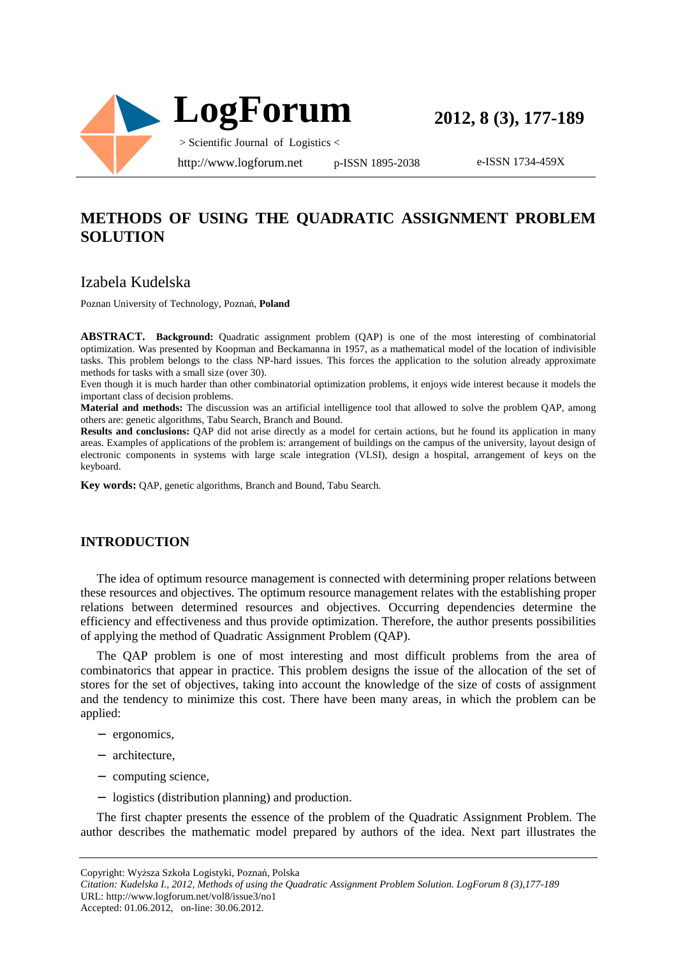

e-ISSN 1734-459X

# **METHODS OF USING THE QUADRATIC ASSIGNMENT PROBLEM SOLUTION**

## Izabela Kudelska

Poznan University of Technology, Poznań, **Poland**

**ABSTRACT. Background:** Quadratic assignment problem (QAP) is one of the most interesting of combinatorial optimization. Was presented by Koopman and Beckamanna in 1957, as a mathematical model of the location of indivisible tasks. This problem belongs to the class NP-hard issues. This forces the application to the solution already approximate methods for tasks with a small size (over 30).

Even though it is much harder than other combinatorial optimization problems, it enjoys wide interest because it models the important class of decision problems.

**Material and methods:** The discussion was an artificial intelligence tool that allowed to solve the problem QAP, among others are: genetic algorithms, Tabu Search, Branch and Bound.

**Results and conclusions:** QAP did not arise directly as a model for certain actions, but he found its application in many areas. Examples of applications of the problem is: arrangement of buildings on the campus of the university, layout design of electronic components in systems with large scale integration (VLSI), design a hospital, arrangement of keys on the keyboard.

**Key words:** QAP, genetic algorithms, Branch and Bound, Tabu Search.

### **INTRODUCTION**

The idea of optimum resource management is connected with determining proper relations between these resources and objectives. The optimum resource management relates with the establishing proper relations between determined resources and objectives. Occurring dependencies determine the efficiency and effectiveness and thus provide optimization. Therefore, the author presents possibilities of applying the method of Quadratic Assignment Problem (QAP).

The QAP problem is one of most interesting and most difficult problems from the area of combinatorics that appear in practice. This problem designs the issue of the allocation of the set of stores for the set of objectives, taking into account the knowledge of the size of costs of assignment and the tendency to minimize this cost. There have been many areas, in which the problem can be applied:

- − ergonomics,
- − architecture,
- − computing science,
- − logistics (distribution planning) and production.

The first chapter presents the essence of the problem of the Quadratic Assignment Problem. The author describes the mathematic model prepared by authors of the idea. Next part illustrates the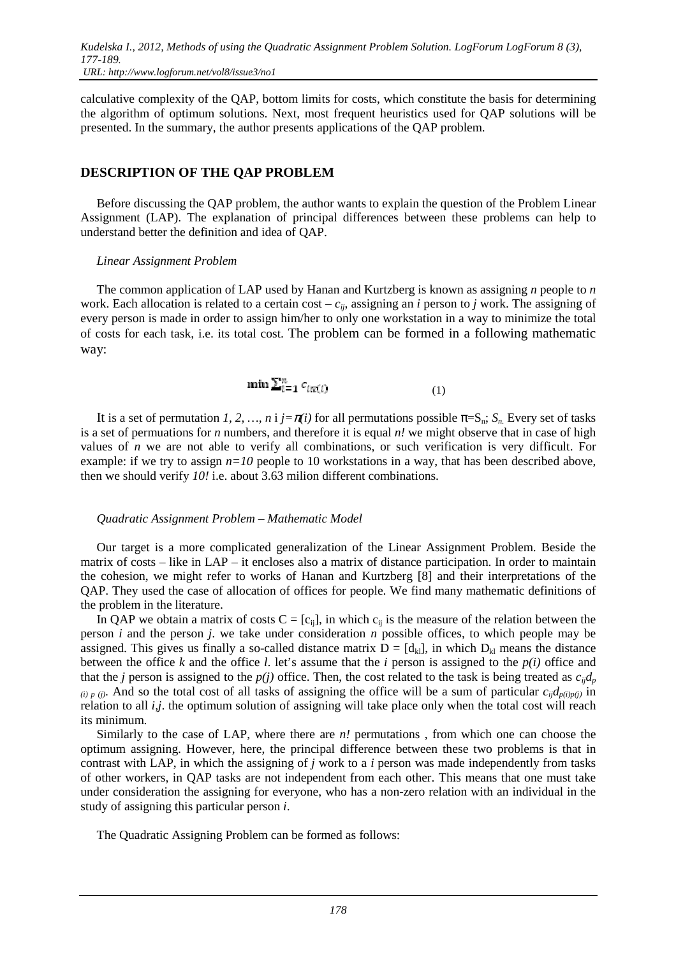calculative complexity of the QAP, bottom limits for costs, which constitute the basis for determining the algorithm of optimum solutions. Next, most frequent heuristics used for QAP solutions will be presented. In the summary, the author presents applications of the QAP problem.

## **DESCRIPTION OF THE QAP PROBLEM**

Before discussing the QAP problem, the author wants to explain the question of the Problem Linear Assignment (LAP). The explanation of principal differences between these problems can help to understand better the definition and idea of QAP.

#### *Linear Assignment Problem*

The common application of LAP used by Hanan and Kurtzberg is known as assigning *n* people to *n* work. Each allocation is related to a certain cost –  $c_{ii}$ , assigning an *i* person to *j* work. The assigning of every person is made in order to assign him/her to only one workstation in a way to minimize the total of costs for each task, i.e. its total cost. The problem can be formed in a following mathematic way:

$$
\min \sum_{i=1}^{n} c_{i\pi(i)} \tag{1}
$$

It is a set of permutation *1, 2, …, n* i  $j = \pi(i)$  for all permutations possible  $\pi = S_n$ ;  $S_n$  Every set of tasks is a set of permuations for *n* numbers, and therefore it is equal *n!* we might observe that in case of high values of *n* we are not able to verify all combinations, or such verification is very difficult. For example: if we try to assign  $n=10$  people to 10 workstations in a way, that has been described above, then we should verify *10!* i.e. about 3.63 milion different combinations.

### *Quadratic Assignment Problem – Mathematic Model*

Our target is a more complicated generalization of the Linear Assignment Problem. Beside the matrix of costs – like in LAP – it encloses also a matrix of distance participation. In order to maintain the cohesion, we might refer to works of Hanan and Kurtzberg [8] and their interpretations of the QAP. They used the case of allocation of offices for people. We find many mathematic definitions of the problem in the literature.

In QAP we obtain a matrix of costs  $C = [c_{ij}]$ , in which  $c_{ij}$  is the measure of the relation between the person *i* and the person *j*. we take under consideration *n* possible offices, to which people may be assigned. This gives us finally a so-called distance matrix  $D = [d_{kl}]$ , in which  $D_{kl}$  means the distance between the office *k* and the office *l*. let's assume that the *i* person is assigned to the *p(i)* office and that the *j* person is assigned to the  $p(j)$  office. Then, the cost related to the task is being treated as  $c_{ij}d_p$  $(i)$  *p* (*i*). And so the total cost of all tasks of assigning the office will be a sum of particular  $c_{ij}d_{p(i)p(j)}$  in relation to all *i,j*. the optimum solution of assigning will take place only when the total cost will reach its minimum.

Similarly to the case of LAP, where there are *n!* permutations , from which one can choose the optimum assigning. However, here, the principal difference between these two problems is that in contrast with LAP, in which the assigning of *j* work to a *i* person was made independently from tasks of other workers, in QAP tasks are not independent from each other. This means that one must take under consideration the assigning for everyone, who has a non-zero relation with an individual in the study of assigning this particular person *i*.

The Quadratic Assigning Problem can be formed as follows: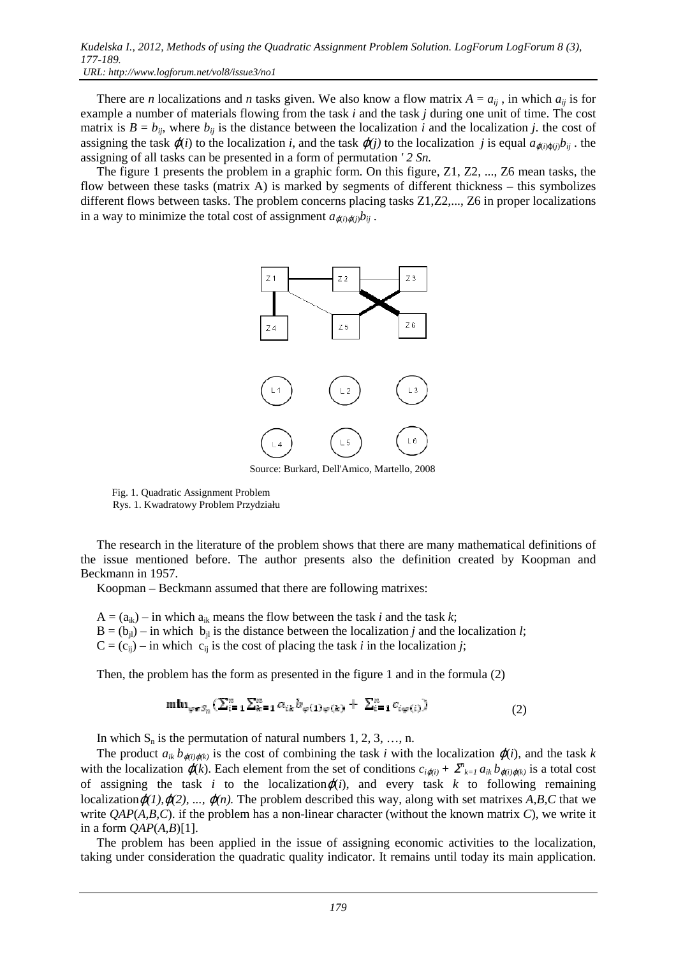There are *n* localizations and *n* tasks given. We also know a flow matrix  $A = a_{ij}$ , in which  $a_{ij}$  is for example a number of materials flowing from the task *i* and the task *j* during one unit of time. The cost matrix is  $B = b_{ij}$ , where  $b_{ij}$  is the distance between the localization *i* and the localization *j*. the cost of assigning the task  $\varphi(i)$  to the localization *i*, and the task  $\varphi(j)$  to the localization *j* is equal  $a_{\varphi(i)\varphi(j)}b_{ij}$ . the assigning of all tasks can be presented in a form of permutation *' 2 Sn.*

The figure 1 presents the problem in a graphic form. On this figure, Z1, Z2, ..., Z6 mean tasks, the flow between these tasks (matrix A) is marked by segments of different thickness – this symbolizes different flows between tasks. The problem concerns placing tasks Z1,Z2,..., Z6 in proper localizations in a way to minimize the total cost of assignment  $a_{\alpha(i)\alpha(j)}b_{ij}$ .



Source: Burkard, Dell'Amico, Martello, 2008

 Fig. 1. Quadratic Assignment Problem Rys. 1. Kwadratowy Problem Przydziału

The research in the literature of the problem shows that there are many mathematical definitions of the issue mentioned before. The author presents also the definition created by Koopman and Beckmann in 1957.

Koopman – Beckmann assumed that there are following matrixes:

- $A = (a_{ik})$  in which  $a_{ik}$  means the flow between the task *i* and the task *k*;
- $B = (b_{jl})$  in which  $b_{jl}$  is the distance between the localization *j* and the localization *l*;
- $C = (c_{ii})$  in which  $c_{ii}$  is the cost of placing the task *i* in the localization *j*;

Then, the problem has the form as presented in the figure 1 and in the formula (2)

$$
\min_{\varphi \in S_n} (\sum_{i=1}^n \sum_{k=1}^n a_{ik} b_{\varphi(1)\varphi(k)} + \sum_{i=1}^n c_{i\varphi(i)}) \tag{2}
$$

In which  $S_n$  is the permutation of natural numbers 1, 2, 3, ..., n.

The product  $a_{ik} b_{\varphi(i)\varphi(k)}$  is the cost of combining the task *i* with the localization  $\varphi(i)$ , and the task *k* with the localization  $\varphi(k)$ . Each element from the set of conditions  $c_{i\varphi(i)} + \sum_{k=1}^{n} a_{ik} b_{\varphi(i)\varphi(k)}$  is a total cost of assigning the task *i* to the localization $\varphi(i)$ , and every task *k* to following remaining localization $\varphi(1), \varphi(2), ..., \varphi(n)$ . The problem described this way, along with set matrixes A,B,C that we write *QAP*(*A,B,C*). if the problem has a non-linear character (without the known matrix *C*), we write it in a form  $QAP(A,B)[1]$ .

The problem has been applied in the issue of assigning economic activities to the localization, taking under consideration the quadratic quality indicator. It remains until today its main application.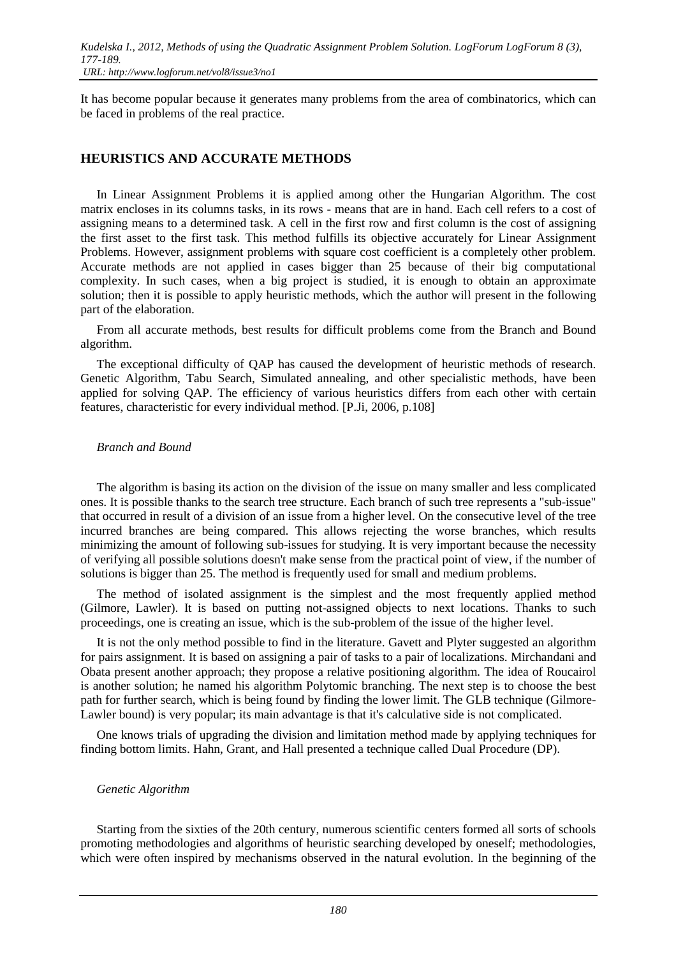It has become popular because it generates many problems from the area of combinatorics, which can be faced in problems of the real practice.

## **HEURISTICS AND ACCURATE METHODS**

In Linear Assignment Problems it is applied among other the Hungarian Algorithm. The cost matrix encloses in its columns tasks, in its rows - means that are in hand. Each cell refers to a cost of assigning means to a determined task. A cell in the first row and first column is the cost of assigning the first asset to the first task. This method fulfills its objective accurately for Linear Assignment Problems. However, assignment problems with square cost coefficient is a completely other problem. Accurate methods are not applied in cases bigger than 25 because of their big computational complexity. In such cases, when a big project is studied, it is enough to obtain an approximate solution; then it is possible to apply heuristic methods, which the author will present in the following part of the elaboration.

From all accurate methods, best results for difficult problems come from the Branch and Bound algorithm.

The exceptional difficulty of QAP has caused the development of heuristic methods of research. Genetic Algorithm, Tabu Search, Simulated annealing, and other specialistic methods, have been applied for solving QAP. The efficiency of various heuristics differs from each other with certain features, characteristic for every individual method. [P.Ji, 2006, p.108]

#### *Branch and Bound*

The algorithm is basing its action on the division of the issue on many smaller and less complicated ones. It is possible thanks to the search tree structure. Each branch of such tree represents a "sub-issue" that occurred in result of a division of an issue from a higher level. On the consecutive level of the tree incurred branches are being compared. This allows rejecting the worse branches, which results minimizing the amount of following sub-issues for studying. It is very important because the necessity of verifying all possible solutions doesn't make sense from the practical point of view, if the number of solutions is bigger than 25. The method is frequently used for small and medium problems.

The method of isolated assignment is the simplest and the most frequently applied method (Gilmore, Lawler). It is based on putting not-assigned objects to next locations. Thanks to such proceedings, one is creating an issue, which is the sub-problem of the issue of the higher level.

It is not the only method possible to find in the literature. Gavett and Plyter suggested an algorithm for pairs assignment. It is based on assigning a pair of tasks to a pair of localizations. Mirchandani and Obata present another approach; they propose a relative positioning algorithm. The idea of Roucairol is another solution; he named his algorithm Polytomic branching. The next step is to choose the best path for further search, which is being found by finding the lower limit. The GLB technique (Gilmore-Lawler bound) is very popular; its main advantage is that it's calculative side is not complicated.

One knows trials of upgrading the division and limitation method made by applying techniques for finding bottom limits. Hahn, Grant, and Hall presented a technique called Dual Procedure (DP).

#### *Genetic Algorithm*

Starting from the sixties of the 20th century, numerous scientific centers formed all sorts of schools promoting methodologies and algorithms of heuristic searching developed by oneself; methodologies, which were often inspired by mechanisms observed in the natural evolution. In the beginning of the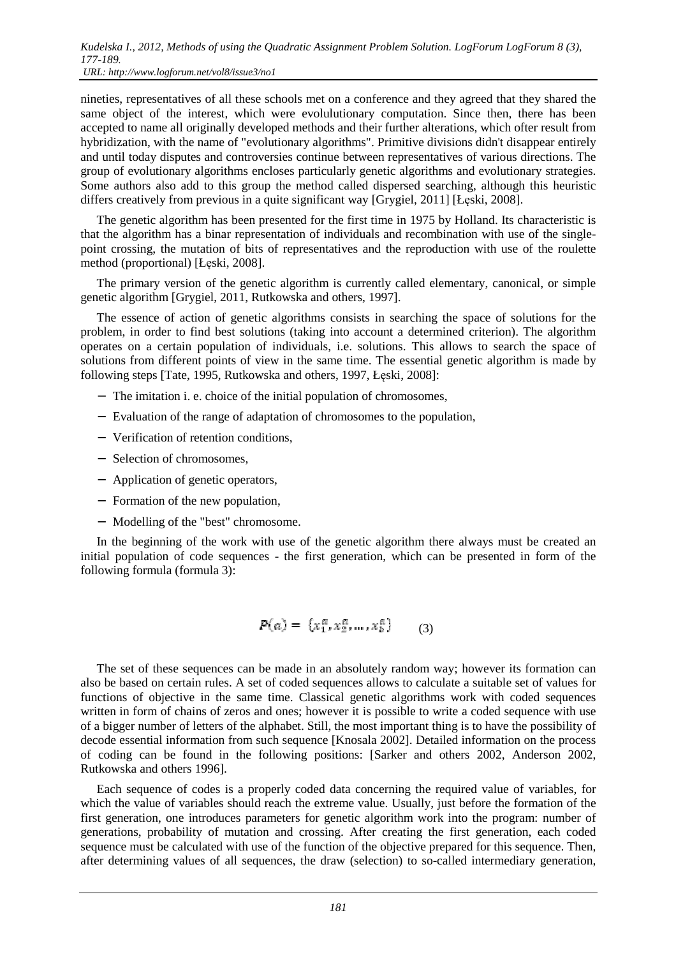nineties, representatives of all these schools met on a conference and they agreed that they shared the same object of the interest, which were evolulutionary computation. Since then, there has been accepted to name all originally developed methods and their further alterations, which ofter result from hybridization, with the name of "evolutionary algorithms". Primitive divisions didn't disappear entirely and until today disputes and controversies continue between representatives of various directions. The group of evolutionary algorithms encloses particularly genetic algorithms and evolutionary strategies. Some authors also add to this group the method called dispersed searching, although this heuristic differs creatively from previous in a quite significant way [Grygiel, 2011] [Łęski, 2008].

The genetic algorithm has been presented for the first time in 1975 by Holland. Its characteristic is that the algorithm has a binar representation of individuals and recombination with use of the singlepoint crossing, the mutation of bits of representatives and the reproduction with use of the roulette method (proportional) [Łęski, 2008].

The primary version of the genetic algorithm is currently called elementary, canonical, or simple genetic algorithm [Grygiel, 2011, Rutkowska and others, 1997].

The essence of action of genetic algorithms consists in searching the space of solutions for the problem, in order to find best solutions (taking into account a determined criterion). The algorithm operates on a certain population of individuals, i.e. solutions. This allows to search the space of solutions from different points of view in the same time. The essential genetic algorithm is made by following steps [Tate, 1995, Rutkowska and others, 1997, Łęski, 2008]:

- − The imitation i. e. choice of the initial population of chromosomes,
- − Evaluation of the range of adaptation of chromosomes to the population,
- − Verification of retention conditions,
- − Selection of chromosomes,
- − Application of genetic operators,
- − Formation of the new population,
- − Modelling of the "best" chromosome.

In the beginning of the work with use of the genetic algorithm there always must be created an initial population of code sequences - the first generation, which can be presented in form of the following formula (formula 3):

$$
P(a) = \{x_1^a, x_2^a, \dots, x_b^a\} \qquad (3)
$$

The set of these sequences can be made in an absolutely random way; however its formation can also be based on certain rules. A set of coded sequences allows to calculate a suitable set of values for functions of objective in the same time. Classical genetic algorithms work with coded sequences written in form of chains of zeros and ones; however it is possible to write a coded sequence with use of a bigger number of letters of the alphabet. Still, the most important thing is to have the possibility of decode essential information from such sequence [Knosala 2002]. Detailed information on the process of coding can be found in the following positions: [Sarker and others 2002, Anderson 2002, Rutkowska and others 1996].

Each sequence of codes is a properly coded data concerning the required value of variables, for which the value of variables should reach the extreme value. Usually, just before the formation of the first generation, one introduces parameters for genetic algorithm work into the program: number of generations, probability of mutation and crossing. After creating the first generation, each coded sequence must be calculated with use of the function of the objective prepared for this sequence. Then, after determining values of all sequences, the draw (selection) to so-called intermediary generation,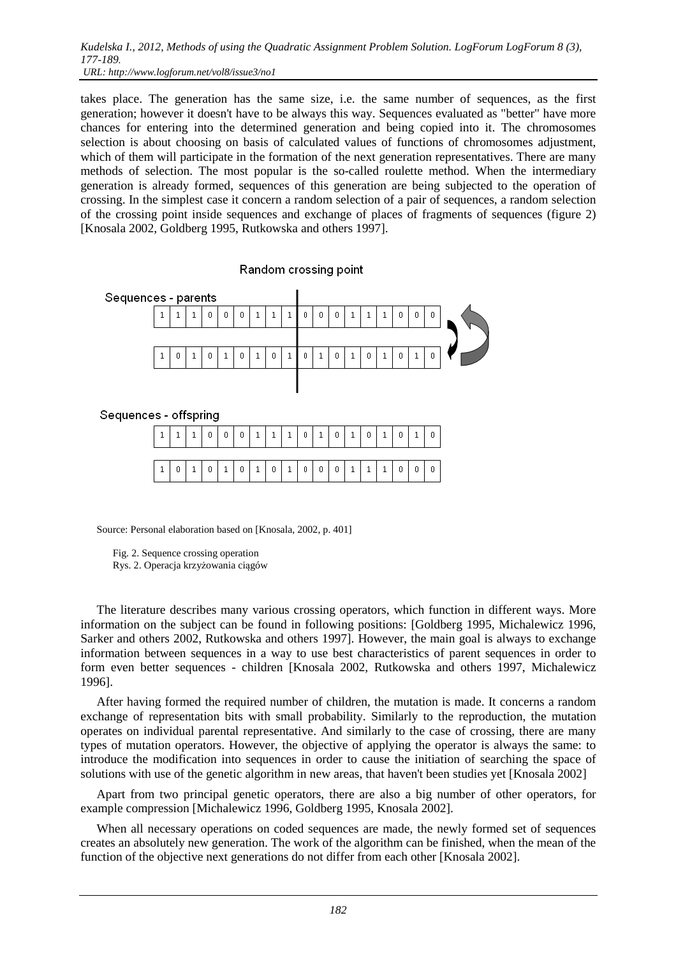takes place. The generation has the same size, i.e. the same number of sequences, as the first generation; however it doesn't have to be always this way. Sequences evaluated as "better" have more chances for entering into the determined generation and being copied into it. The chromosomes selection is about choosing on basis of calculated values of functions of chromosomes adjustment, which of them will participate in the formation of the next generation representatives. There are many methods of selection. The most popular is the so-called roulette method. When the intermediary generation is already formed, sequences of this generation are being subjected to the operation of crossing. In the simplest case it concern a random selection of a pair of sequences, a random selection of the crossing point inside sequences and exchange of places of fragments of sequences (figure 2) [Knosala 2002, Goldberg 1995, Rutkowska and others 1997].





| $1   0   1   0   1   0   1   0   1   0   0   0   0   1   1   0   0   0   0   1$ |  |  |  |  |  |  |  |  |  |
|---------------------------------------------------------------------------------|--|--|--|--|--|--|--|--|--|

Source: Personal elaboration based on [Knosala, 2002, p. 401]

 Fig. 2. Sequence crossing operation Rys. 2. Operacja krzyżowania ciągów

The literature describes many various crossing operators, which function in different ways. More information on the subject can be found in following positions: [Goldberg 1995, Michalewicz 1996, Sarker and others 2002, Rutkowska and others 1997]. However, the main goal is always to exchange information between sequences in a way to use best characteristics of parent sequences in order to form even better sequences - children [Knosala 2002, Rutkowska and others 1997, Michalewicz 1996].

After having formed the required number of children, the mutation is made. It concerns a random exchange of representation bits with small probability. Similarly to the reproduction, the mutation operates on individual parental representative. And similarly to the case of crossing, there are many types of mutation operators. However, the objective of applying the operator is always the same: to introduce the modification into sequences in order to cause the initiation of searching the space of solutions with use of the genetic algorithm in new areas, that haven't been studies yet [Knosala 2002]

Apart from two principal genetic operators, there are also a big number of other operators, for example compression [Michalewicz 1996, Goldberg 1995, Knosala 2002].

When all necessary operations on coded sequences are made, the newly formed set of sequences creates an absolutely new generation. The work of the algorithm can be finished, when the mean of the function of the objective next generations do not differ from each other [Knosala 2002].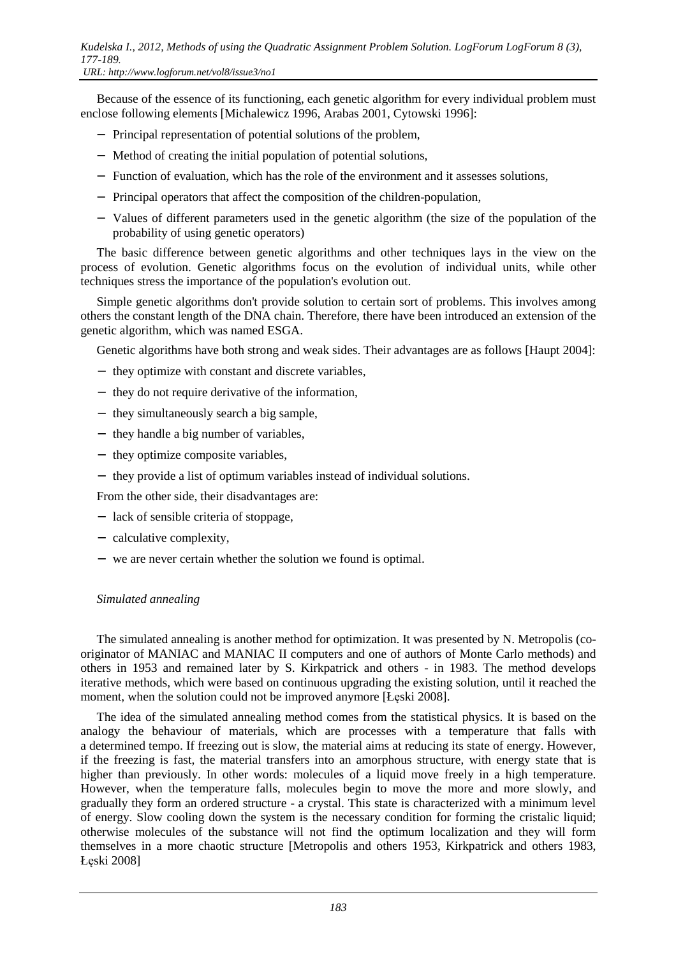Because of the essence of its functioning, each genetic algorithm for every individual problem must enclose following elements [Michalewicz 1996, Arabas 2001, Cytowski 1996]:

- − Principal representation of potential solutions of the problem,
- − Method of creating the initial population of potential solutions,
- − Function of evaluation, which has the role of the environment and it assesses solutions,
- − Principal operators that affect the composition of the children-population,
- − Values of different parameters used in the genetic algorithm (the size of the population of the probability of using genetic operators)

The basic difference between genetic algorithms and other techniques lays in the view on the process of evolution. Genetic algorithms focus on the evolution of individual units, while other techniques stress the importance of the population's evolution out.

Simple genetic algorithms don't provide solution to certain sort of problems. This involves among others the constant length of the DNA chain. Therefore, there have been introduced an extension of the genetic algorithm, which was named ESGA.

Genetic algorithms have both strong and weak sides. Their advantages are as follows [Haupt 2004]:

- − they optimize with constant and discrete variables,
- − they do not require derivative of the information,
- − they simultaneously search a big sample,
- − they handle a big number of variables,
- − they optimize composite variables,
- − they provide a list of optimum variables instead of individual solutions.

From the other side, their disadvantages are:

- − lack of sensible criteria of stoppage,
- − calculative complexity,
- − we are never certain whether the solution we found is optimal.

### *Simulated annealing*

The simulated annealing is another method for optimization. It was presented by N. Metropolis (cooriginator of MANIAC and MANIAC II computers and one of authors of Monte Carlo methods) and others in 1953 and remained later by S. Kirkpatrick and others - in 1983. The method develops iterative methods, which were based on continuous upgrading the existing solution, until it reached the moment, when the solution could not be improved anymore [Łęski 2008].

The idea of the simulated annealing method comes from the statistical physics. It is based on the analogy the behaviour of materials, which are processes with a temperature that falls with a determined tempo. If freezing out is slow, the material aims at reducing its state of energy. However, if the freezing is fast, the material transfers into an amorphous structure, with energy state that is higher than previously. In other words: molecules of a liquid move freely in a high temperature. However, when the temperature falls, molecules begin to move the more and more slowly, and gradually they form an ordered structure - a crystal. This state is characterized with a minimum level of energy. Slow cooling down the system is the necessary condition for forming the cristalic liquid; otherwise molecules of the substance will not find the optimum localization and they will form themselves in a more chaotic structure [Metropolis and others 1953, Kirkpatrick and others 1983, Łęski 2008]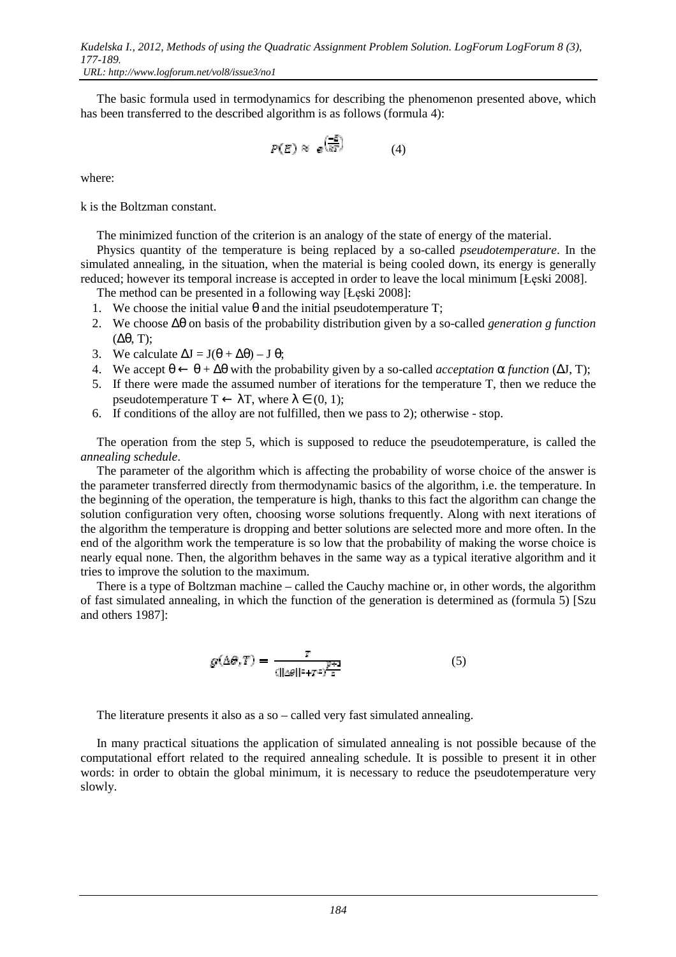The basic formula used in termodynamics for describing the phenomenon presented above, which has been transferred to the described algorithm is as follows (formula 4):

$$
P(E) \approx e^{\left(\frac{-E}{kT}\right)} \tag{4}
$$

where:

k is the Boltzman constant.

The minimized function of the criterion is an analogy of the state of energy of the material.

Physics quantity of the temperature is being replaced by a so-called *pseudotemperature*. In the simulated annealing, in the situation, when the material is being cooled down, its energy is generally reduced; however its temporal increase is accepted in order to leave the local minimum [Łęski 2008].

The method can be presented in a following way [Łęski 2008]:

- 1. We choose the initial value  $\theta$  and the initial pseudotemperature T;
- 2. We choose ∆θ on basis of the probability distribution given by a so-called *generation g function* (∆θ, T);
- 3. We calculate  $\Delta J = J(\theta + \Delta \theta) J \theta$ ;
- 4. We accept  $θ \leftarrow θ + Δθ$  with the probability given by a so-called *acceptation* α *function* (ΔJ, T);
- 5. If there were made the assumed number of iterations for the temperature T, then we reduce the pseudotemperature  $T \leftarrow \lambda T$ , where  $\lambda \in (0, 1)$ ;
- 6. If conditions of the alloy are not fulfilled, then we pass to 2); otherwise stop.

The operation from the step 5, which is supposed to reduce the pseudotemperature, is called the *annealing schedule*.

The parameter of the algorithm which is affecting the probability of worse choice of the answer is the parameter transferred directly from thermodynamic basics of the algorithm, i.e. the temperature. In the beginning of the operation, the temperature is high, thanks to this fact the algorithm can change the solution configuration very often, choosing worse solutions frequently. Along with next iterations of the algorithm the temperature is dropping and better solutions are selected more and more often. In the end of the algorithm work the temperature is so low that the probability of making the worse choice is nearly equal none. Then, the algorithm behaves in the same way as a typical iterative algorithm and it tries to improve the solution to the maximum.

There is a type of Boltzman machine – called the Cauchy machine or, in other words, the algorithm of fast simulated annealing, in which the function of the generation is determined as (formula 5) [Szu and others 1987]:

$$
g(\Delta \theta, T) = \frac{T}{(\|\Delta \theta\|^2 + T^2)^{\frac{p+1}{2}}} \tag{5}
$$

The literature presents it also as a so – called very fast simulated annealing.

In many practical situations the application of simulated annealing is not possible because of the computational effort related to the required annealing schedule. It is possible to present it in other words: in order to obtain the global minimum, it is necessary to reduce the pseudotemperature very slowly.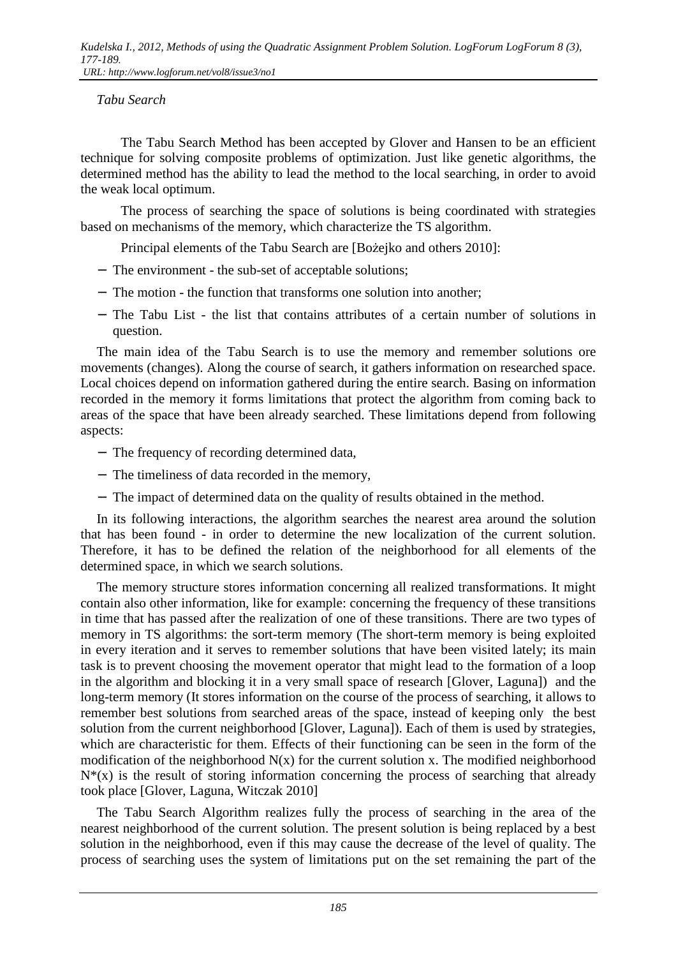## *Tabu Search*

 The Tabu Search Method has been accepted by Glover and Hansen to be an efficient technique for solving composite problems of optimization. Just like genetic algorithms, the determined method has the ability to lead the method to the local searching, in order to avoid the weak local optimum.

 The process of searching the space of solutions is being coordinated with strategies based on mechanisms of the memory, which characterize the TS algorithm.

Principal elements of the Tabu Search are [Bożejko and others 2010]:

- − The environment the sub-set of acceptable solutions;
- − The motion the function that transforms one solution into another;
- − The Tabu List the list that contains attributes of a certain number of solutions in question.

The main idea of the Tabu Search is to use the memory and remember solutions ore movements (changes). Along the course of search, it gathers information on researched space. Local choices depend on information gathered during the entire search. Basing on information recorded in the memory it forms limitations that protect the algorithm from coming back to areas of the space that have been already searched. These limitations depend from following aspects:

- − The frequency of recording determined data,
- − The timeliness of data recorded in the memory,
- − The impact of determined data on the quality of results obtained in the method.

In its following interactions, the algorithm searches the nearest area around the solution that has been found - in order to determine the new localization of the current solution. Therefore, it has to be defined the relation of the neighborhood for all elements of the determined space, in which we search solutions.

The memory structure stores information concerning all realized transformations. It might contain also other information, like for example: concerning the frequency of these transitions in time that has passed after the realization of one of these transitions. There are two types of memory in TS algorithms: the sort-term memory (The short-term memory is being exploited in every iteration and it serves to remember solutions that have been visited lately; its main task is to prevent choosing the movement operator that might lead to the formation of a loop in the algorithm and blocking it in a very small space of research [Glover, Laguna]) and the long-term memory (It stores information on the course of the process of searching, it allows to remember best solutions from searched areas of the space, instead of keeping only the best solution from the current neighborhood [Glover, Laguna]). Each of them is used by strategies, which are characteristic for them. Effects of their functioning can be seen in the form of the modification of the neighborhood  $N(x)$  for the current solution x. The modified neighborhood  $N^*(x)$  is the result of storing information concerning the process of searching that already took place [Glover, Laguna, Witczak 2010]

The Tabu Search Algorithm realizes fully the process of searching in the area of the nearest neighborhood of the current solution. The present solution is being replaced by a best solution in the neighborhood, even if this may cause the decrease of the level of quality. The process of searching uses the system of limitations put on the set remaining the part of the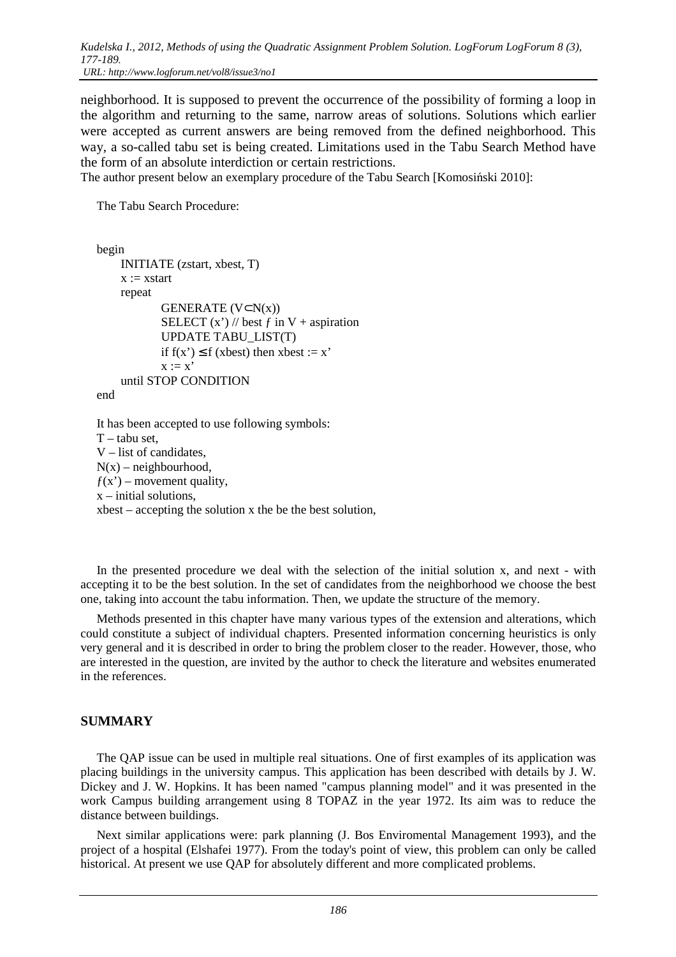*Kudelska I., 2012, Methods of using the Quadratic Assignment Problem Solution. LogForum LogForum 8 (3), 177-189. URL: http://www.logforum.net/vol8/issue3/no1* 

neighborhood. It is supposed to prevent the occurrence of the possibility of forming a loop in the algorithm and returning to the same, narrow areas of solutions. Solutions which earlier were accepted as current answers are being removed from the defined neighborhood. This way, a so-called tabu set is being created. Limitations used in the Tabu Search Method have the form of an absolute interdiction or certain restrictions.

The author present below an exemplary procedure of the Tabu Search [Komosiński 2010]:

The Tabu Search Procedure:

```
begin 
 INITIATE (zstart, xbest, T) 
x := xstart
 repeat 
        GENERATE (V ⊂ N(x))SELECT (x') // best f in V + aspiration
         UPDATE TABU_LIST(T) 
        if f(x') \le f (xbest) then xbest := x'
        x := x' until STOP CONDITION
```
end

It has been accepted to use following symbols:  $T$  – tabu set. V – list of candidates,  $N(x)$  – neighbourhood,  $f(x')$  – movement quality, x – initial solutions,  $xbest - accepting the solution  $x$  the be the best solution.$ 

In the presented procedure we deal with the selection of the initial solution x, and next - with accepting it to be the best solution. In the set of candidates from the neighborhood we choose the best one, taking into account the tabu information. Then, we update the structure of the memory.

Methods presented in this chapter have many various types of the extension and alterations, which could constitute a subject of individual chapters. Presented information concerning heuristics is only very general and it is described in order to bring the problem closer to the reader. However, those, who are interested in the question, are invited by the author to check the literature and websites enumerated in the references.

## **SUMMARY**

The QAP issue can be used in multiple real situations. One of first examples of its application was placing buildings in the university campus. This application has been described with details by J. W. Dickey and J. W. Hopkins. It has been named "campus planning model" and it was presented in the work Campus building arrangement using 8 TOPAZ in the year 1972. Its aim was to reduce the distance between buildings.

Next similar applications were: park planning (J. Bos Enviromental Management 1993), and the project of a hospital (Elshafei 1977). From the today's point of view, this problem can only be called historical. At present we use QAP for absolutely different and more complicated problems.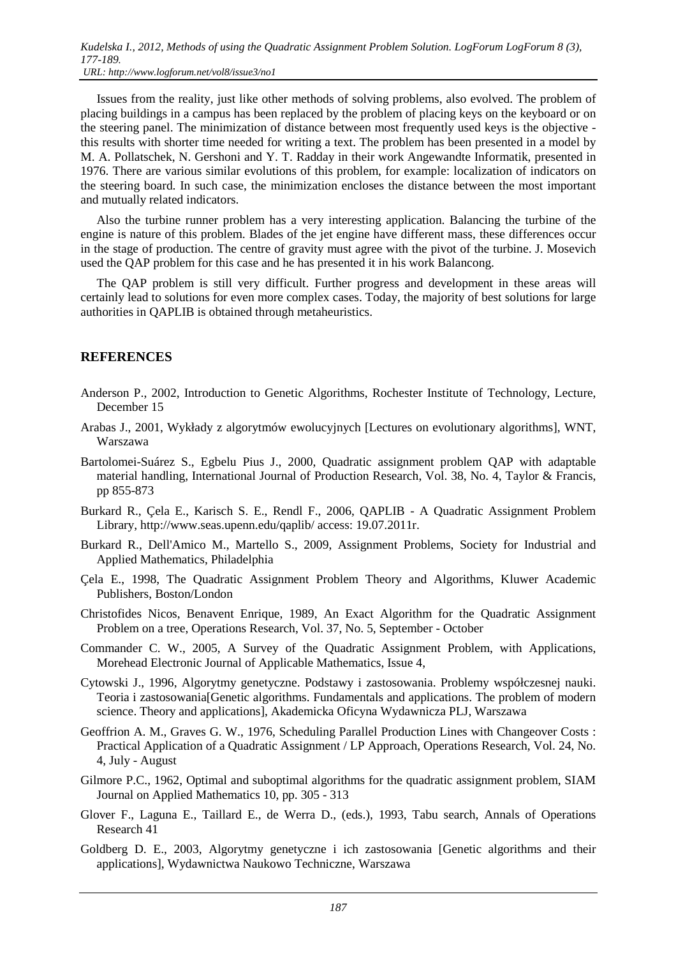Issues from the reality, just like other methods of solving problems, also evolved. The problem of placing buildings in a campus has been replaced by the problem of placing keys on the keyboard or on the steering panel. The minimization of distance between most frequently used keys is the objective this results with shorter time needed for writing a text. The problem has been presented in a model by M. A. Pollatschek, N. Gershoni and Y. T. Radday in their work Angewandte Informatik, presented in 1976. There are various similar evolutions of this problem, for example: localization of indicators on the steering board. In such case, the minimization encloses the distance between the most important and mutually related indicators.

Also the turbine runner problem has a very interesting application. Balancing the turbine of the engine is nature of this problem. Blades of the jet engine have different mass, these differences occur in the stage of production. The centre of gravity must agree with the pivot of the turbine. J. Mosevich used the QAP problem for this case and he has presented it in his work Balancong.

The QAP problem is still very difficult. Further progress and development in these areas will certainly lead to solutions for even more complex cases. Today, the majority of best solutions for large authorities in QAPLIB is obtained through metaheuristics.

## **REFERENCES**

- Anderson P., 2002, Introduction to Genetic Algorithms, Rochester Institute of Technology, Lecture, December 15
- Arabas J., 2001, Wykłady z algorytmów ewolucyjnych [Lectures on evolutionary algorithms], WNT, Warszawa
- Bartolomei-Suárez S., Egbelu Pius J., 2000, Quadratic assignment problem QAP with adaptable material handling, International Journal of Production Research, Vol. 38, No. 4, Taylor & Francis, pp 855-873
- Burkard R., Çela E., Karisch S. E., Rendl F., 2006, QAPLIB A Quadratic Assignment Problem Library, http://www.seas.upenn.edu/qaplib/ access: 19.07.2011r.
- Burkard R., Dell'Amico M., Martello S., 2009, Assignment Problems, Society for Industrial and Applied Mathematics, Philadelphia
- Çela E., 1998, The Quadratic Assignment Problem Theory and Algorithms, Kluwer Academic Publishers, Boston/London
- Christofides Nicos, Benavent Enrique, 1989, An Exact Algorithm for the Quadratic Assignment Problem on a tree, Operations Research, Vol. 37, No. 5, September - October
- Commander C. W., 2005, A Survey of the Quadratic Assignment Problem, with Applications, Morehead Electronic Journal of Applicable Mathematics, Issue 4,
- Cytowski J., 1996, Algorytmy genetyczne. Podstawy i zastosowania. Problemy współczesnej nauki. Teoria i zastosowania[Genetic algorithms. Fundamentals and applications. The problem of modern science. Theory and applications], Akademicka Oficyna Wydawnicza PLJ, Warszawa
- Geoffrion A. M., Graves G. W., 1976, Scheduling Parallel Production Lines with Changeover Costs : Practical Application of a Quadratic Assignment / LP Approach, Operations Research, Vol. 24, No. 4, July - August
- Gilmore P.C., 1962, Optimal and suboptimal algorithms for the quadratic assignment problem, SIAM Journal on Applied Mathematics 10, pp. 305 - 313
- Glover F., Laguna E., Taillard E., de Werra D., (eds.), 1993, Tabu search, Annals of Operations Research 41
- Goldberg D. E., 2003, Algorytmy genetyczne i ich zastosowania [Genetic algorithms and their applications], Wydawnictwa Naukowo Techniczne, Warszawa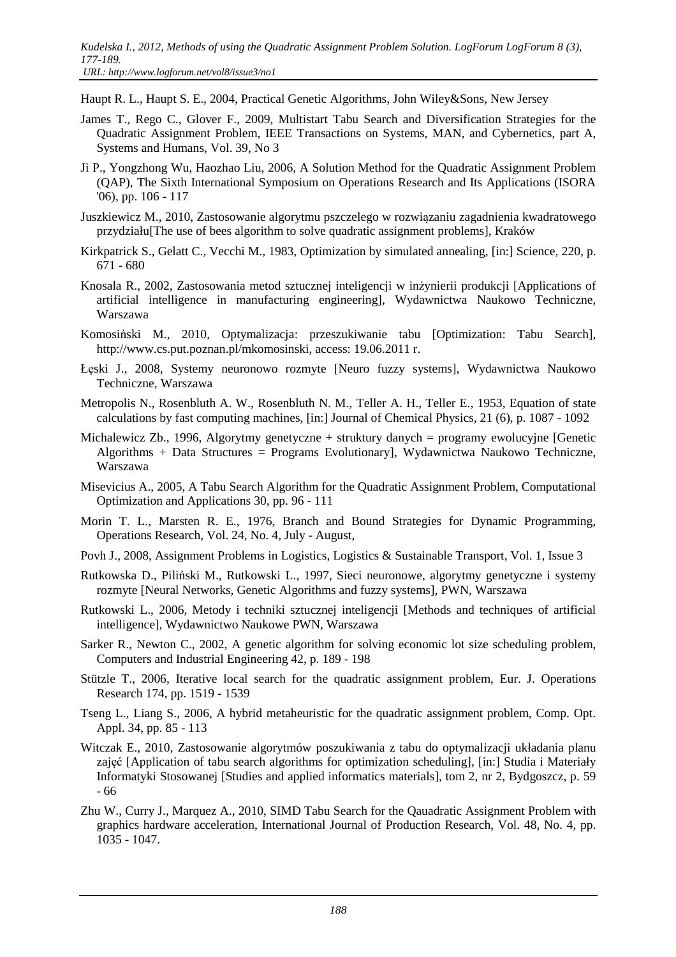Haupt R. L., Haupt S. E., 2004, Practical Genetic Algorithms, John Wiley&Sons, New Jersey

- James T., Rego C., Glover F., 2009, Multistart Tabu Search and Diversification Strategies for the Quadratic Assignment Problem, IEEE Transactions on Systems, MAN, and Cybernetics, part A, Systems and Humans, Vol. 39, No 3
- Ji P., Yongzhong Wu, Haozhao Liu, 2006, A Solution Method for the Quadratic Assignment Problem (QAP), The Sixth International Symposium on Operations Research and Its Applications (ISORA '06), pp. 106 - 117
- Juszkiewicz M., 2010, Zastosowanie algorytmu pszczelego w rozwiązaniu zagadnienia kwadratowego przydziału[The use of bees algorithm to solve quadratic assignment problems], Kraków
- Kirkpatrick S., Gelatt C., Vecchi M., 1983, Optimization by simulated annealing, [in:] Science, 220, p. 671 - 680
- Knosala R., 2002, Zastosowania metod sztucznej inteligencji w inżynierii produkcji [Applications of artificial intelligence in manufacturing engineering], Wydawnictwa Naukowo Techniczne, Warszawa
- Komosiński M., 2010, Optymalizacja: przeszukiwanie tabu [Optimization: Tabu Search], http://www.cs.put.poznan.pl/mkomosinski, access: 19.06.2011 r.
- Łęski J., 2008, Systemy neuronowo rozmyte [Neuro fuzzy systems], Wydawnictwa Naukowo Techniczne, Warszawa
- Metropolis N., Rosenbluth A. W., Rosenbluth N. M., Teller A. H., Teller E., 1953, Equation of state calculations by fast computing machines, [in:] Journal of Chemical Physics, 21 (6), p. 1087 - 1092
- Michalewicz Zb., 1996, Algorytmy genetyczne + struktury danych = programy ewolucyjne [Genetic Algorithms + Data Structures = Programs Evolutionary], Wydawnictwa Naukowo Techniczne, Warszawa
- Misevicius A., 2005, A Tabu Search Algorithm for the Quadratic Assignment Problem, Computational Optimization and Applications 30, pp. 96 - 111
- Morin T. L., Marsten R. E., 1976, Branch and Bound Strategies for Dynamic Programming, Operations Research, Vol. 24, No. 4, July - August,
- Povh J., 2008, Assignment Problems in Logistics, Logistics & Sustainable Transport, Vol. 1, Issue 3
- Rutkowska D., Piliński M., Rutkowski L., 1997, Sieci neuronowe, algorytmy genetyczne i systemy rozmyte [Neural Networks, Genetic Algorithms and fuzzy systems], PWN, Warszawa
- Rutkowski L., 2006, Metody i techniki sztucznej inteligencji [Methods and techniques of artificial intelligence], Wydawnictwo Naukowe PWN, Warszawa
- Sarker R., Newton C., 2002, A genetic algorithm for solving economic lot size scheduling problem, Computers and Industrial Engineering 42, p. 189 - 198
- Stützle T., 2006, Iterative local search for the quadratic assignment problem, Eur. J. Operations Research 174, pp. 1519 - 1539
- Tseng L., Liang S., 2006, A hybrid metaheuristic for the quadratic assignment problem, Comp. Opt. Appl. 34, pp. 85 - 113
- Witczak E., 2010, Zastosowanie algorytmów poszukiwania z tabu do optymalizacji układania planu zajęć [Application of tabu search algorithms for optimization scheduling], [in:] Studia i Materiały Informatyki Stosowanej [Studies and applied informatics materials], tom 2, nr 2, Bydgoszcz, p. 59 - 66
- Zhu W., Curry J., Marquez A., 2010, SIMD Tabu Search for the Qauadratic Assignment Problem with graphics hardware acceleration, International Journal of Production Research, Vol. 48, No. 4, pp. 1035 - 1047.